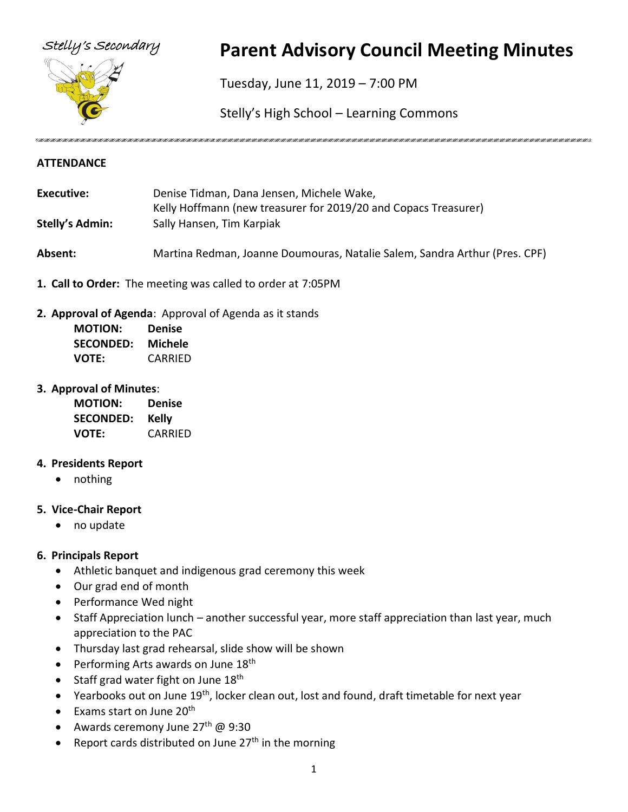

# Stelly's Secondary **Parent Advisory Council Meeting Minutes**

Tuesday, June 11, 2019 – 7:00 PM

Stelly's High School – Learning Commons

#### **ATTENDANCE**

- **Executive:** Denise Tidman, Dana Jensen, Michele Wake, Kelly Hoffmann (new treasurer for 2019/20 and Copacs Treasurer) **Stelly's Admin:** Sally Hansen, Tim Karpiak **Absent:** Martina Redman, Joanne Doumouras, Natalie Salem, Sandra Arthur (Pres. CPF)
- **1. Call to Order:** The meeting was called to order at 7:05PM
- **2. Approval of Agenda**: Approval of Agenda as it stands

| <b>MOTION:</b>   | Denise  |
|------------------|---------|
| <b>SECONDED:</b> | Michele |
| VOTE:            | CARRIED |

**3. Approval of Minutes**:

| <b>MOTION:</b>   | <b>Denise</b> |
|------------------|---------------|
| <b>SECONDED:</b> | Kelly         |
| <b>VOTE:</b>     | CARRIED       |

#### **4. Presidents Report**

• nothing

#### **5. Vice-Chair Report**

• no update

#### **6. Principals Report**

- Athletic banquet and indigenous grad ceremony this week
- Our grad end of month
- Performance Wed night
- Staff Appreciation lunch another successful year, more staff appreciation than last year, much appreciation to the PAC
- Thursday last grad rehearsal, slide show will be shown
- Performing Arts awards on June 18<sup>th</sup>
- Staff grad water fight on June  $18<sup>th</sup>$
- Yearbooks out on June 19<sup>th</sup>, locker clean out, lost and found, draft timetable for next year
- $\bullet$  Exams start on June 20<sup>th</sup>
- Awards ceremony June 27<sup>th</sup> @ 9:30
- Report cards distributed on June 27<sup>th</sup> in the morning